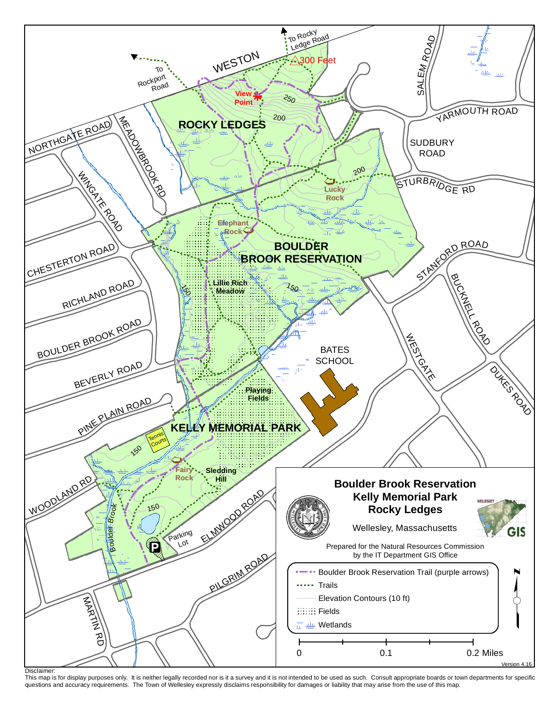

Disclaimer:

Disclaimer:<br>This map is for display purposes only. It is neither legally recorded nor is it a survey and it is not intended to be used as such. Consult appropriate boards or town departments for specific questions and accuracy requirements. The Town of Wellesley expressly disclaims responsibility for damages or liability that may arise from the use of this map.